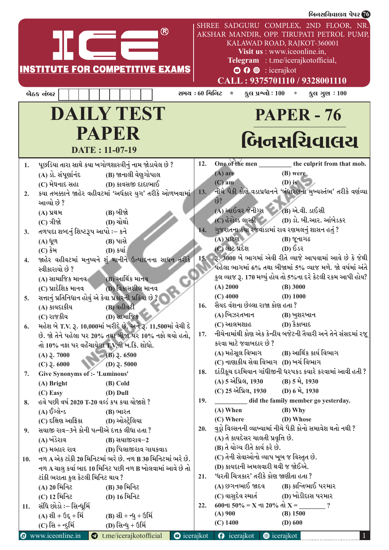|     |                                                                                                                                                                                                                                           |     | બિનસચિવાલચ પેપર 76                                                                                                                                                                      |
|-----|-------------------------------------------------------------------------------------------------------------------------------------------------------------------------------------------------------------------------------------------|-----|-----------------------------------------------------------------------------------------------------------------------------------------------------------------------------------------|
|     | ®                                                                                                                                                                                                                                         |     | SHREE SADGURU COMPLEX, 2ND FLOOR, NR.<br>AKSHAR MANDIR, OPP. TIRUPATI PETROL PUMP,<br>KALAWAD ROAD, RAJKOT-360001<br>Visit us : www.iceonline.in,<br>Telegram : t.me/icerajkotofficial, |
|     | <b>INSTITUTE FOR COMPETITIVE EXAMS</b>                                                                                                                                                                                                    |     | <b>O O</b> © : icerajkot                                                                                                                                                                |
|     |                                                                                                                                                                                                                                           |     | CALL: 9375701110 / 9328001110                                                                                                                                                           |
|     | બેઠક નંબર                                                                                                                                                                                                                                 |     | સમય : 60 મિનિટ *<br>$\frac{1}{3}$ स प्रश्नो : 100 $\cdot$ $\frac{1}{3}$ स गुण : 100                                                                                                     |
|     |                                                                                                                                                                                                                                           |     |                                                                                                                                                                                         |
|     | <b>DAILY TEST</b>                                                                                                                                                                                                                         |     | <b>PAPER - 76</b>                                                                                                                                                                       |
|     | <b>PAPER</b>                                                                                                                                                                                                                              |     | બિનસચિવાલય                                                                                                                                                                              |
|     | DATE: 11-07-19                                                                                                                                                                                                                            |     |                                                                                                                                                                                         |
|     |                                                                                                                                                                                                                                           |     |                                                                                                                                                                                         |
| 1.  | પૂછડિયા તારા સાથે કયા ખગોળશાસ્ત્રીનું નામ જોડાયેલ છે ?                                                                                                                                                                                    | 12. | One of the men __________ the culprit from that mob.                                                                                                                                    |
|     | (B) જાનાલી વેણુગોપાલ<br>(A) ડો. સંપૂર્ણાનંદ                                                                                                                                                                                               |     | $(A)$ are<br>(B) were                                                                                                                                                                   |
|     | $(C)$ મેઘનાદ સહા $(D)$ કાવસજી દાદાભાઈ                                                                                                                                                                                                     |     | $(D)$ is<br>$(C)$ am<br>13. નીચે પૈકી કોણે વડાપ્રધાનને 'બંધારણના મુખ્યસ્તંભ' તરીકે વર્ણવ્યા                                                                                             |
| 2.  | કયા તબક્કાને જાહેર વહીવટમાં 'અર્ધકાર યુગ' તરીકે ઓળખવામાં                                                                                                                                                                                  |     | છે?                                                                                                                                                                                     |
|     | આવ્યો છે ?                                                                                                                                                                                                                                |     | (A) આઈવર જેનીગ્સ (B) એ.વી. ડાઈસી                                                                                                                                                        |
|     | (B) બીજો<br>(A) પ્રથમ                                                                                                                                                                                                                     |     | (C) હેરોલ્ડ લાસ્કી (D) ડો. બી.આર. આંબેડકર                                                                                                                                               |
|     | (D) ચોથો<br>$(C)$ ત્રીજો વિજયો મહિલા માટે છે. આ ગામના પ્રાપ્ત પ્રાપ્ત પ્રાપ્ત પ્રાપ્ત પ્રાપ્ત પ્રાપ્ત પ્રાપ્ત પ્રાપ્ત પ્રાપ્ત પ્રાપ્ત પ્રાપ્ત પ્રાપ્ત પ્રાપ્ત પ્રાપ્ત પ્રાપ્ત પ્રાપ્ત પ્રાપ્ત પ્રાપ્ત પ્રાપ્ત પ્રાપ્ત પ્રાપ્ત પ્રાપ્ત પ્ર | 14. | ગુજરાતના કયા રજવાડામાં રાવ રણમલનું શાસન હતું ?                                                                                                                                          |
| 3.  | તળપદા શબ્દનું શિષ્ટરૂપ આપો :– કને                                                                                                                                                                                                         |     | (A) પાટણ<br><b>(B) જૂનાગઢ</b>                                                                                                                                                           |
|     | (B) પાસે<br>$(A)$ ધૂળ                                                                                                                                                                                                                     |     | (C) લાટ પ્રદેશ<br>$(D)$ $\delta$ s                                                                                                                                                      |
|     | (D) કર્યા<br>$(C)$ કેમ                                                                                                                                                                                                                    |     | 15. 3. 3000 બે ભાગમાં એવી રીતે વ્યાજે આપવામાં આવે છે કે જેથી                                                                                                                            |
| 4.  | જાહેર વહીવટમાં મનુષ્યને શું માનીને ઉત્પાદનના સાધન તરીકે<br>સ્વીકારાયો છે ?                                                                                                                                                                |     | પહેલા ભાગમાં 6% તથા બીજામાં 5% વ્યાજ મળે. જો વર્ષમાં અંતે                                                                                                                               |
|     |                                                                                                                                                                                                                                           |     | કુલ વ્યાજ રૂ. 170 મળ્યું હોય તો 5%ના દરે કેટલી રકમ આપી હોય?                                                                                                                             |
|     | $(A)$ સામાજિક માનવ $(B)$ આર્થિક માનવ                                                                                                                                                                                                      |     | (A) 2000<br>$(B)$ 3000                                                                                                                                                                  |
|     | (C) પ્રાદેશિક માનવ<br>(D) વિકાસશીલ માનવ<br>સત્તાનું પ્રતિનિધાન હોવું એ કેવા પ્રકારની પ્રક્રિયા છે ?                                                                                                                                       |     | $(C)$ 4000<br>$(D)$ 1000                                                                                                                                                                |
| 5.  | (B) વહીવટી                                                                                                                                                                                                                                | 16. | સૈયદ વંશના છેલ્લા રાજા કોણ હતા ?                                                                                                                                                        |
|     | (A) કાયદાકીય<br>(D) સામાજિક<br>(C) રાજકીય                                                                                                                                                                                                 |     | (A) ખિઝરતખાન<br>(B) ખુશરખાન                                                                                                                                                             |
|     | મહેશ બે T.V. રૂ. 10,000માં ખરીદે છે. અને રૂ. 11,500માં વેચી દે                                                                                                                                                                            |     | (C) આલમશાહ<br>(D) કૈકાબાદ                                                                                                                                                               |
| 6.  | છે. જો તેને પહેલા પર 20% તથા બીજા પર 10% નફો થયો હતો,                                                                                                                                                                                     | 17. | નીચેનામાંથી કોણ એક કેન્દ્રીય બજેટની તૈયારી અને તેને સંસદમાં રજૂ                                                                                                                         |
|     | તો 10% નફા પર વહેંચાયેલા T.V.ની ખ.કિ. શોધો.                                                                                                                                                                                               |     | કરવા માટે જવાબદાર છે ?                                                                                                                                                                  |
|     | $(B)$ 3.6500<br>$(A)$ 3.7000                                                                                                                                                                                                              |     | (A) મહેસૂલ વિભાગ (B) આર્થિક કાર્ય વિભાગ                                                                                                                                                 |
|     | $(C)$ 3.6000<br>(D) $3.5000$                                                                                                                                                                                                              |     | (C) નાણાકીય સેવા વિભાગ (D) ખર્ચ વિભાગ                                                                                                                                                   |
| 7.  | Give Synonyms of :- 'Luminous'                                                                                                                                                                                                            | 18. | દાંડીકૂચ દરમિયાન ગાંધીજીની ધરપકડ કયારે કરવામાં આવી હતી ?                                                                                                                                |
|     | $(A)$ Bright<br>(B) Cold                                                                                                                                                                                                                  |     | (A) 5 એપ્રિલ, 1930 (B) 5 મે, 1930                                                                                                                                                       |
|     | $(C)$ Easy<br>(D) Dull                                                                                                                                                                                                                    |     | (C) 25 એપ્રિલ, 1930 (D) 6 મે, 1930                                                                                                                                                      |
| 8.  | હવે પછી વર્ષ 2020 T-20 વર્લ્ડ કપ કયા યોજાશે ?                                                                                                                                                                                             | 19. | did the family member go yesterday.                                                                                                                                                     |
|     | (A) ઈંગ્લેન્ડ<br>(B) ભારત                                                                                                                                                                                                                 |     | $(B)$ Why<br>$(A)$ When                                                                                                                                                                 |
|     | (C) દક્ષિણ આફ્રિકા               (D) ઓસ્ટ્રેલિયા                                                                                                                                                                                          |     | $(C)$ Where<br>(D) Whose                                                                                                                                                                |
| 9.  | સયાજી રાવ–3ને કોની પત્નીએ દત્તક લીધા હતા ?                                                                                                                                                                                                | 20. | વુડ્રો વિલ્સનની વ્યાખ્યામાં નીચે પૈકી કોનો સમાવેશ થતો નથી ?                                                                                                                             |
|     | (A) ખંડેરાવ<br>(B) સયાજીરાવ-2                                                                                                                                                                                                             |     | (A) તે કાયદેસર ચાલતી પ્રવૃત્તિ છે.                                                                                                                                                      |
|     | (C) મલ્હાર રાવ (D) પિલાજીરાવ ગાયકવાડ                                                                                                                                                                                                      |     | (B) તે યોગ્ય રીતે કાર્ય કરે છે.                                                                                                                                                         |
| 10. | નળ A એક ટાંકી 20 મિનિટમાં ભરે છે. નળ B 30 મિનિટમાં ભરે છે.                                                                                                                                                                                |     | (C) તેની સેવાઓનો વ્યાપ ખૂબ જ વિસ્તૃત છે.                                                                                                                                                |
|     | નળ A ચાલુ કર્યા બાદ 10 મિનિટ પછી નળ B ખોલવામાં આવે છે તો                                                                                                                                                                                  |     | (D) કાયદાની અમલવારી થવી જ જોઈએ.                                                                                                                                                         |
|     | ટાંકી ભરાતા કુલ કેટલી મિનિટ થાય ?                                                                                                                                                                                                         | 21. | 'ધરતી ચિત્રકાર' તરીકે કોણ જાણીતા હતા ?                                                                                                                                                  |
|     | (A) 20 મિનિટ<br>(B) 30 મિનિટ                                                                                                                                                                                                              |     | $(A)$ છગનભાઈ જાદવ $(B)$ કાન્તિભાઈ પરમાર                                                                                                                                                 |
|     | (C) 12 મિનિટ<br>(D) 16 મિનિટ                                                                                                                                                                                                              |     | (C) વાસુદેવ સ્માર્ત (D) ખોડીદાસ પરમાર                                                                                                                                                   |
| 11. | સંધિ છોડો ઃ– સિન્ધૂર્મિ                                                                                                                                                                                                                   | 22. | $600$ ના 50% = X ના 20% તો X =                                                                                                                                                          |
|     | (B) સી + ન્ધુ + ઉર્મિ<br>$(A)$ શી + ઉદ્ + ર્મિ                                                                                                                                                                                            |     | (B) 1500<br>$(A)$ 900                                                                                                                                                                   |
|     | $(C)$ સિ + ન્દુર્મિ<br>(D) સિન્ધુ + ઉર્મિ                                                                                                                                                                                                 |     | $(C)$ 1400<br>$(D)$ 600                                                                                                                                                                 |
|     | <b>O</b> www.iceonline.in<br>t.me/icerajkotofficial<br>$\bullet$ icerajkot                                                                                                                                                                |     | <b>O</b> icerajkot<br><b>@</b> icerajkot                                                                                                                                                |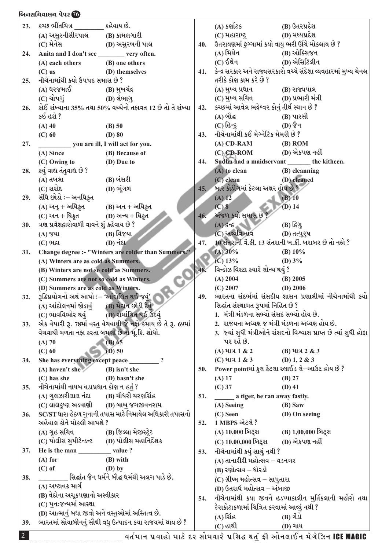## <u>નિનસચિવાલય પેપર @</u>

| 23. | કચ્છ ભીંતચિત્ર                 કહેવાય છે.                           |                                                               |     | $(A)$ કર્ણાટક                                      | (B) ઉતરપ્રદેશ                                                       |
|-----|---------------------------------------------------------------------|---------------------------------------------------------------|-----|----------------------------------------------------|---------------------------------------------------------------------|
|     | $(A)$ અસુરનીસીરપાલ $(B)$ કામણગારી                                   |                                                               |     | (C) મહારાષ્ટ્ર                                     | (D) મધ્યપ્રદેશ                                                      |
|     |                                                                     |                                                               | 40. | ઉતરાયણમાં ફુગ્ગામાં કયો વાયુ ભરી ઊંચે મોકલાય છે ?  |                                                                     |
| 24. | Anita and I don't see _________ very often.                         |                                                               |     | (A) મિથેન                                          | (B) ઓક્સિજન                                                         |
|     | (A) each others                                                     | (B) one others                                                |     | $(C)$ ઈથેન                                         | (D) એસિટિલીન                                                        |
|     | $(C)$ us                                                            | (D) themselves                                                | 41. |                                                    | કેન્દ્ર સરકાર અને રાજ્યસરકારો વચ્ચે સંદેશા વ્યવહારમાં મુખ્ય ચેનલ    |
| 25. | નીચેનામાંથી કયો ઉપપદ સમાસ છે ?                                      |                                                               |     | તરીકે કોણ કામ કરે છે ?                             |                                                                     |
|     | $(A)$ ઘરજમાઈ $(B)$ મુખચંદ્ર                                         |                                                               |     | (A) મુખ્ય પ્રધાન (B) રાજ્યપાલ                      |                                                                     |
|     | $(C)$ ચોપગું $(D)$ લેભાગુ                                           |                                                               |     | $(C)$ મુખ્ય સચિવ $(D)$ પ્રભારી મંત્રી              |                                                                     |
| 26. |                                                                     | કોઈ સંખ્યાના 35% તથા 50% વચ્ચેનો તફાવત 12 છે તો તે સંખ્યા     | 42. | કચ્છમાં આવેલ ભદ્રેશ્વર કોનું તીર્થ સ્થાન છે ?      |                                                                     |
|     | કઈ હશે ?                                                            |                                                               |     | $(A)$ બૌદ્ધ $(A)$                                  | (B) પારસી                                                           |
|     | $(A)$ 40                                                            | (B) 50                                                        |     | $(C)$ હિન્દુ                                       | <b>(D) જૈન</b>                                                      |
|     | $(C)$ 60                                                            | $(D)$ 80                                                      | 43. | નીચેનામાંથી કઈ મેગ્નેટિક મેમરી છે ?                |                                                                     |
| 27. | you are ill, I will act for you.                                    |                                                               |     | $(A)$ CD-RAM                                       | $(B)$ ROM                                                           |
|     | (A) Since                                                           | (B) Because of                                                |     | (C) CD-ROM (D) એકપણ નહીં                           |                                                                     |
|     | (C) Owing to                                                        | (D) Due to                                                    | 44. |                                                    | Sudha had a maidservant the kithcen.                                |
| 28. | કયું વાદ્ય તંતુવાદ્ય છે ?                                           |                                                               |     | $\overline{A}$ to clean                            | (B) cleanning                                                       |
|     | (A) તબલા                                                            | (B) બંસરી                                                     |     | $(C)$ clean                                        | (D) cleaned                                                         |
|     | (C) સરોદ                                                            | (D) ભૂંગળ                                                     | 45. | બાર કોડીંગમાં કેટલા અક્ષર હોય છે ?                 |                                                                     |
| 29. | સંધિ છોડો ઃ– અનધિક્રત                                               |                                                               |     | $(A)$ 12                                           | $(B)$ 10                                                            |
|     | (A) અન્ + અધિકૃત (B) અન + અધિકૃત<br>(C) અન + ધિકૃત (D) અન્ય + ધિકૃત |                                                               | 46. | (C) 8<br>અંજળ કયો સમાસ છે ?                        | $(D)$ 14                                                            |
|     | ત્રણ પ્રવેશદ્વારોવાળી વાવને શું કહેવાય છે ?                         |                                                               |     | $(A)$ and $(A)$                                    | $(B)$ દિગુ                                                          |
| 30. | <b>(A) જયા</b>                                                      | (B) વિજયા                                                     |     | (C) અવ્યવિભાવ                                      | (D) તત્પુરૂષ                                                        |
|     | $(C)$ ભદ્રા                                                         | $(D)$ નંદા                                                    | 47. |                                                    | 10 સંતરાની વેં.કી. 13 સંતરાની ખ.કી. બરાબર છે તો નફો ?               |
| 31. |                                                                     | Change degree :- "Winters are colder than Summers."           |     | $(A) 30\%$                                         | (B) $10\%$                                                          |
|     | (A) Winters are as cold as Summers.                                 |                                                               |     | $(C)$ 13%                                          | (D) $3\%$                                                           |
|     | (B) Winters are not so cold as Summers.                             |                                                               | 48. | વિન્ડોઝ વિસ્ટા કયારે લોન્ચ થયું ?                  |                                                                     |
|     | (C) Summers are not so cold as Winters.                             |                                                               |     | $(A)$ 2004                                         | $(B)$ 2005                                                          |
|     | (D) Summers are as cold as Winters.                                 |                                                               |     | $(C)$ 2007                                         | $(D)$ 2006                                                          |
| 32. | <u>રૂઢિપ્રયોગનો અર્થ આપો :– 'આંદોલિત થઈ જવું'  </u>                 |                                                               | 49. |                                                    | ભારતના સંદર્ભમાં સંસદીય શાસન પ્રણાલીમાં નીચેનામાંથી કયો             |
|     | (A) આંદોલનમાં જોડાવં (B) મેદાન છોડી દેવ                             |                                                               |     | સિદ્ધાંત સંસ્થાગત રૂપમાં નિહિત છે ?                |                                                                     |
|     | (C) ભાવવિભોર થવું (D) રોમાંચિત થઈ ઉઠવું                             |                                                               |     | 1. મંત્રી મંડળના સભ્યો સંસદ સભ્યો હોય છે.          |                                                                     |
| 33. |                                                                     | એક વેપારી રૂ. 78માં વસ્તુ વેચવાથી જે નફો કમાય છે તે રૂ. 69માં |     | 2.  રાજયના અધ્યક્ષ જ મંત્રી મંડળના અધ્યક્ષ હોય છે. |                                                                     |
|     | વેચવાથી મળતા નફા કરતા બમણો છે તો મૂ.કિ. શોધો.                       |                                                               |     |                                                    | 3. જ્યાં સુધી મંત્રીઓને સંસદનો વિશ્વાસ પ્રાપ્ત છે ત્યાં સુધી હોદ્દા |
|     | $(A)$ 70                                                            | $(B)$ 65                                                      |     | પર રહે છે.                                         |                                                                     |
|     | $(C)$ 60                                                            | $(D)$ 50                                                      |     | (A) માત્ર 1 & 2                                    | (B) માત્ર 2 & 3                                                     |
| 34. | She has everything except peace ________                            | $\overline{?}$                                                |     | (C) માત્ર 1 & 3                                    | (D) 1, 2 & 3                                                        |
|     | $(A)$ haven't she                                                   | $(B)$ isn't she                                               | 50. |                                                    | Power pointમાં કુલ કેટલા સ્લાઈડ લે–આઉટ હોય છે ?                     |
|     | $(C)$ has she                                                       | (D) hasn't she                                                |     | $(A)$ 17                                           | $(B)$ 27                                                            |
| 35. | નીચેનામાંથી નાયબ વડાપ્રધાન કોણ ન હતું ?                             |                                                               |     | $(C)$ 37                                           | $(D)$ 41                                                            |
|     | (A) ગુલઝારીલાલ નંદા        (B) ચૌધરી ચરણસિંહ                        |                                                               | 51. | _________ a tiger, he ran away fastly.             |                                                                     |
|     | (C) લાલકૃષ્ણ અડવાણી (D) બાબુ જગજીવનરામ                              |                                                               |     | (A) Seeing                                         | (B) Saw                                                             |
| 36. |                                                                     | SC/ST ધારા હેઠળ ગુનાની તપાસ માટે નિમાયેલ અધિકારી તપાસનો       |     | (C) Seen                                           | (D) On seeing                                                       |
|     | અહેવાલ કોને મોકલી આપશે ?                                            |                                                               | 52. | <u>1 MBPS એટલે ?</u>                               |                                                                     |
|     | (A) ગૃહ સચિવ                     (B) જિલ્લા મેજીસ્ટ્રેટ             |                                                               |     | (A) 10,000 બિટ્સ                                   | (B) 1,00,000 બિટ્સ                                                  |
|     | (C) પોલીસ સુપીટેન્ડન્ટ (D) પોલીસ મહાનિર્દેશક                        |                                                               |     | (C) 10,00,000 બિટ્સ                                | (D) એકપણ નહીં                                                       |
| 37. | He is the man __________________value ?                             |                                                               | 53. | નીચેનામાંથી કયું સાચું નથી ?                       |                                                                     |
|     | $(A)$ for                                                           | (B) with                                                      |     | (A) તાનારીરી મહોત્સવ – વડનગર                       |                                                                     |
| 38. | $(C)$ of                                                            | $(D)$ by<br>સિદ્ઘાંત જૈન ધર્મને બૌદ્ધ ધર્મથી અલગ પાડે છે.     |     | (B) રણોત્સવ – ધોરડો                                |                                                                     |
|     | (A) અષ્ટાવક્ર માર્ગ                                                 |                                                               |     | (C) ગ્રીષ્મ મહોત્સવ – સાપુતારા                     |                                                                     |
|     | (B) વેદોના અચૂકપણાનો અસ્વીકાર                                       |                                                               |     | (D) ઉતરાર્ધ મહોત્સવ – અંબાજી                       |                                                                     |
|     | (C) પુનઃજન્મમાં આસ્થા                                               |                                                               | 54. |                                                    | નીચેનામાંથી કયા જીવને હડપ્પાકાલીન મુર્તિકલાની મહોરો તથા             |
|     | (D) આત્માનું બધા જીવો અને વસ્તુઓમાં અસ્તિત્વ છે.                    |                                                               |     | ટેરાકોટાકળામાં ચિત્રિત કરવામાં આવ્યું નથી ?        |                                                                     |
| 39. |                                                                     | ભારતમાં સોયાબીનનું સૌથી વધુ ઉત્પાદન કયા રાજયમાં થાય છે ?      |     | (A) સિંહ                                           | $(B)$ $\partial S$                                                  |
|     |                                                                     |                                                               |     | (C) હાથી                                           | (D) ગાય                                                             |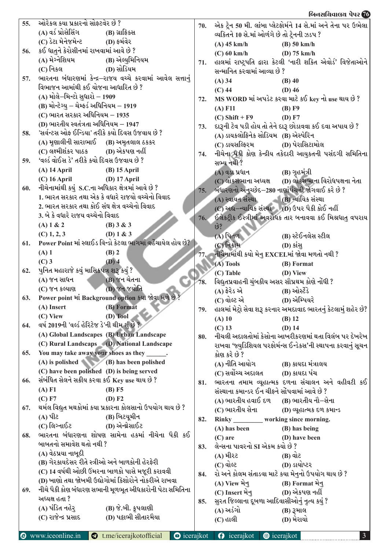|     |                                                                                                         |     | <u>બિનસચિવાલચ પેપર 76</u>                                                  |
|-----|---------------------------------------------------------------------------------------------------------|-----|----------------------------------------------------------------------------|
| 55. | ઓરેકલ કયા પ્રકારનો સોફ્ટવેર છે ?                                                                        |     | 70. એક ટ્રેન 50 મી. લાંબા પ્લેટફોર્મને 14 સે.માં અને તેના પર ઉભેલા         |
|     | (A) વર્ડ પ્રોસેસિંગ<br>(B) ગ્રાફિક્સ                                                                    |     | વ્યકિતને 10 સે.માં ઓળંગે છે તો ટ્રેનની ઝડપ ?                               |
|     | (C) ડેટા મેનેજમેન્ટ<br>(D) ફર્મવેર                                                                      |     | $(A)$ 45 km/h<br>$(B)$ 50 km/h                                             |
| 56. | કઈ ધાતુને કેરોસીનમાં રાખવામાં આવે છે ?                                                                  |     | $(D)$ 75 km/h<br>$(C)$ 60 km/h                                             |
|     | (A) મેગ્નેશિયમ<br>(B) એલ્યુમિનિયમ                                                                       |     | 71. હાલમાં રાષ્ટ્રપતિ દ્વારા કેટલી 'નારી શકિત એવોર્ડ' વિજેતાઓને            |
|     | $(C)$ નિકલ<br>(D) સોડિયમ                                                                                |     | સન્માનિત કરવામાં આવ્યા છે ?                                                |
| 57. | ભારતના બંધારણમાં કેન્દ્ર–રાજય વચ્ચે કરવામાં આવેલ સત્તાનું                                               |     | $(A)$ 34<br>$(B)$ 40                                                       |
|     | વિભાજન આમાંથી કઈ યોજના આધારિત છે ?                                                                      |     | $(C)$ 44<br>$(D)$ 46                                                       |
|     | (A) મોલે–મિન્ટો સુધારો – 1909                                                                           |     | 72. MS WORD માં અપડેટ કરવા માટે કઈ key નો use થાય છે?                      |
|     | (B) મોન્ટેગ્યુ – ચેમ્ફર્ડ અધિનિયમ – 1919                                                                |     | $(A)$ F11<br>(B) F9                                                        |
|     | $(C)$ ભારત સરકાર અધિનિયમ $-1935$                                                                        |     | $(C)$ Shift + F9<br>(D) F7                                                 |
|     | (D) ભારતીય સ્વતંત્રતા અધિનિયમ $-1947$                                                                   |     | 73. દારૂની ટેવ પડી હોય તો તેને દારૂ છોડાવવા કઈ દવા અપાય છે ?               |
|     | 'સર્વન્ટસ ઓફ ઈન્ડિયા' તરીકે કયો દિવસ ઉજવાય છે ?                                                         |     | (A) ડાયકલોફિનેક સોડિયમ (B) એસ્પેરિન                                        |
|     | (A) મૃણાલીની સારાભાઈ (B) અમૃતલાલ ઠકકર                                                                   |     | (C) ડાયસલ્ફિરમ<br>(D) પેરાસિટામોલ                                          |
|     | (C) લક્ષ્મીશંકર પાઠક<br>(D) એકપણ નહીં                                                                   |     | 74. નીચેના પૈકી કોણ કેન્દ્રીય તકેદારી આયુકતની પસંદગી સમિતિના               |
| 59. | 'વર્લ્ડ વોઈસ ડે' તરીકે કયો દિવસ ઉજવાય છે ?                                                              |     | સભ્ય નથી ?                                                                 |
|     | $(A)$ 14 April<br>$(B)$ 15 April                                                                        |     | (B) ગૃહમંત્રી<br>(A) વડા પ્રધાન                                            |
|     | $(D)$ 17 April<br>$(C)$ 16 April                                                                        |     | (D) લોકસભાના વિરોધપક્ષના નેતા<br>(C) લોકસભાના અધ્યક્ષ                      |
| 60. | નીચેનામાંથી કયું S.C.ના અધિકાર ક્ષેત્રમાં આવે છે ?<br>1. ભારત સરકાર તથા એક કે વધારે રાજયો વચ્ચેનો વિવાદ |     | $75.$ બંધારણનો અનચ્છેદ $-280$ નાણાંપંચની જોગવાઈ કરે છે ?                   |
|     | 2. ભારત સરકાર તથા કોઈ સંઘ ક્ષેત્ર વચ્ચેનો વિવાદ                                                         |     | (A) સ્વાયત સંસ્થા<br>(B) ન્યાયિક સંસ્થા                                    |
|     | 3. બે કે વધારે રાજય વચ્ચેનો વિવાદ                                                                       |     | $(C)$ અદ્ય-ન્યાયિક સંસ્થા $(D)$ ઉપર પૈકી કોઈ નહીં                          |
|     |                                                                                                         |     | 76. ઈલેકટ્રીક ઈસ્ત્રીમાં અવરોધક તાર બનાવવા કઈ મિશ્રધાતુ વપરાય              |
|     | (A) 1 & 2<br>(B) $3 & 3$                                                                                |     | છે?                                                                        |
|     | (D) $1 & 3$<br>$(C)$ 1, 2, 3<br>Power Point માં સ્લાઈડ વિન્ડો કેટલા ભાગમાં વહેંચાયેલ હોય છે?            |     | (B) સ્ટેઈનલેસ સ્ટીલ<br>(A) પિતળ                                            |
| 61. |                                                                                                         |     | (C) નિક્રોમ<br>$(D)$ કાંસુ                                                 |
|     | $(A)$ 1<br>$(B)$ 2                                                                                      |     | નીચેનામાંથી કયો મેનુ EXCELમાં જોવા મળતો નથી ?                              |
|     | $(D)$ 4<br>$(C)$ 3<br>પુનિત મહારાજે કયું માસિકપત્ર શરૂ કર્યું ?                                         |     | (A) Tools<br>(B) Format                                                    |
|     |                                                                                                         |     | (D) View<br>$(C)$ Table                                                    |
|     | (B) જન ચેતના<br>(A) જન સાધન<br>(D) જન જયોતિ                                                             |     | વિદ્યુતપ્રવાહની ચુંબકીય અસર સૌપ્રથમ કોણે નોંધી ?                           |
|     | (C) જન કલ્યાણ                                                                                           |     | $(A)$ ફેરેડ એ<br>(B) ઓસ્ટેંડે                                              |
|     | 63. Power point માં Background option કયા જોવા મળે છે                                                   |     | (C) વોલ્ટ એ<br>(D) એમ્પિયરે                                                |
|     | (A) Insert<br>(B) Format                                                                                |     | 79. હાલમાં મેટ્રો સેવા શરૂ કરનાર અમદાવાદ ભારતનું કેટલામું શહેર છે?         |
| 64. | $(D)$ Tool<br>(C) View<br>વર્ષ 2019ની 'વર્લ્ડ હેરિટેજ ડે'ની થીમ શું છે ?                                |     | $(A)$ 10<br>$(B)$ 12                                                       |
|     | (A) Global Landscapes (B) Urban Landscape                                                               |     | $(C)$ 13<br>$(D)$ 14                                                       |
|     | (C) Rural Landscaps (D) National Landscape                                                              | 80. | નીચલી અદાલતોમાં કેસોના આખરીકરણમાં થતા વિલંબ પર દેખરેખ                      |
| 65. | You may take away your shoes as they                                                                    |     | રાખવા 'જ્યુડિશિયલ પરફોર્મન્સ ઈન્ડેકસ'ની સ્થાપના કરવાનું સૂચન               |
|     | $(A)$ is polished $(B)$ has been polished                                                               |     | કોણ કરે છે ?                                                               |
|     | (C) have been polished (D) is being served                                                              |     | (A) નીતિ આયોગ<br>(B) કાયદા મંત્રાલય<br>(C) સર્વોચ્ચ અદાલત<br>(D) કાયદા પંચ |
| 66. | સંબંધિત સેલને સક્રીય કરવા કઈ Key use થાય છે ?                                                           |     | 81. ભારતના તમામ વ્યૂહાત્મક દળના સંચાલન અને વહીવટી કઈ                       |
|     | (A) F1<br>$(B)$ F5                                                                                      |     | સંસ્થાના કમાન્ડર ઈન ચીફને સોંપવામાં આવે છે ?                               |
|     | (C) F7<br>(D) F2                                                                                        |     | (A) ભારતીય હવાઈ દળ<br>(B) ભારતીય નૌ–સેના                                   |
| 67. | થર્મલ વિદ્યુત મથકોમાં કયા પ્રકારના કોલસાનો ઉપયોગ થાય છે ?                                               |     | (C) ભારતીય સેના<br>(D) વ્યૂહાત્મક દળ કમાન્ડ                                |
|     | (A) પીટ<br>(B) બિટયૂમીન                                                                                 | 82. | working since morning.<br><b>Rinky</b>                                     |
|     | (D) એન્થ્રેસાઈટ<br>(C) લિગ્નાઈટ                                                                         |     | (B) has being<br>$(A)$ has been                                            |
|     | ભારતના બંધારણના શોષણ સામેના હકમાં નીચેના પૈકી કઈ                                                        |     | (D) have been<br>$(C)$ are                                                 |
|     | બાબતનો સમાવેશ થતો નથી ?                                                                                 |     | 83. લેન્સના પાવરનો SI એકમ કયો છે ?                                         |
|     | (A) વેઠપ્રયા નાબૂદી                                                                                     |     | (A) મીરટ<br>$(B)$ વોટ                                                      |
|     | (B) ગેરકાયદેસર રીતે સ્ત્રીઓ અને બાળકોની હેરફેરી                                                         |     | $(C)$ વોલ્ટ<br>(D) ડાયોપ્ટર                                                |
|     | (C) 14 વર્ષથી ઓછી ઉંમરના બાળકો પાસે મજૂરી કરાવવી                                                        |     | 84. રો અને કોલમ સંતાડવા માટે કયા મેનુનો ઉપયોગ થાય છે ?                     |
|     | (D) ખાણો તથા જોખમી ઉદ્યોગોમાં કિશોરોને નોકરીએ રાખવા                                                     |     | $(A)$ View भेनू<br>(B) Format भेनू                                         |
| 69. | નીચે પૈકી કોણ બંધારણ સભાની મૂળભૂત અીધકારોની પેટા સમિતિના                                                |     | (D) એકપણ નહીં<br>(C) Insert મેનુ                                           |
|     | અધ્યક્ષ હતા ?                                                                                           |     | 85. સુરત જિલ્લાના દૂબળા આદિવાસીઓનું નૃત્ય કયું ?                           |
|     | (A) પંડિત નહેર્<br>(B) જે.બી. કૃપલાણી                                                                   |     | $(A)$ અડંગો                                                                |
|     | (D) પટ્ટાભી સીતારમૈયા<br>(C) રાજેન્દ્ર પ્રસાદ                                                           |     | $(B)$ રૂમાલ<br>(D) મેરાયો<br>$(C)$ હાલી                                    |
|     |                                                                                                         |     |                                                                            |
|     |                                                                                                         |     |                                                                            |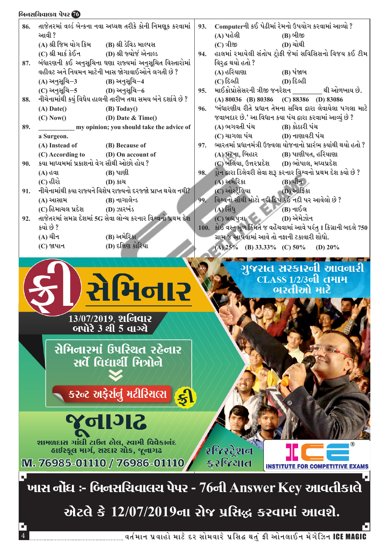|     | બિનસચિવાલચ પેપર <mark>76</mark>                                                                                                                                                            |     |                                                                      |  |  |
|-----|--------------------------------------------------------------------------------------------------------------------------------------------------------------------------------------------|-----|----------------------------------------------------------------------|--|--|
|     | 86. તાજેતરમાં વર્લ્ડ બેન્કના નવા અધ્યક્ષ તરીકે કોની નિમણૂક કરવામાં $\,$                                                                                                                    |     | 93. Computerની કઈ પેઢીમાં રેમનો ઉપયોગ કરવામાં આવ્યો ?                |  |  |
|     | આવી ?                                                                                                                                                                                      |     | (A) પહેલી<br>(B) બીજી                                                |  |  |
|     | (A) શ્રી જિમ યોગ કિમ<br>(B) શ્રી ડેવિડ માલ્પસ                                                                                                                                              |     | (D) ચોથી<br>$(C)$ ત્રીજી                                             |  |  |
|     | (D) શ્રી જ્યોર્જ એનાલ્ડ<br>(C) શ્રી માર્ક કેઈન                                                                                                                                             |     | 94. હાલમાં રમાયેલી સંતોષ ટ્રોફી જેમાં સવિસિસનો વિજય કઈ ટીમ           |  |  |
| 87. | બંધારણની કઈ અનુસૂચિના ઘણા રાજ્યમાં અનુસૂચિત વિસ્તારોમાં                                                                                                                                    |     | વિર્દ્ધ થયો હતો ?                                                    |  |  |
|     | વહીવટ અને નિયમન માટેની ખાસ જોગાવાઈઓને લગતી છે ?                                                                                                                                            |     | (A) હરિયાણા<br>(B) પંજાબ                                             |  |  |
|     | (A) અનુસૂચિ−3<br>(B) અનુસૂચિ–4                                                                                                                                                             |     | $(C)$ દિલ્હી<br>(D) દિલ્હી                                           |  |  |
|     | (D) અનુસૂચિ–6<br>(C) અનુસૂચિ–5                                                                                                                                                             | 95. | માઈક્રોપ્રોસેસરની ત્રીજી જનરેશન<br>થી ઓળખાય છે.                      |  |  |
| 88. | નીચેનામાંથી કયું વિધેય હાલની તારીખ તથા સમય બંને દર્શાવે છે ?                                                                                                                               |     | (A) $80036$ (B) $80386$ (C) $88386$ (D) $83086$                      |  |  |
|     | $(A)$ Date()<br>$(B)$ Today $()$                                                                                                                                                           |     | 96. 'બંધારણીય રીતે પ્રધાન તેમના સચિવ દ્વારા લેવાયેલા પગલા માટે       |  |  |
|     | (D) Date $\&$ Time()<br>(C) Now()                                                                                                                                                          |     | જવાબદાર છે.' આ વિધાન કયા પંચ દ્વારા કરવામાં આવ્યું છે ?              |  |  |
| 89. | my opinion; you should take the advice of                                                                                                                                                  |     | (A) ભગવતી પંચ<br>(B) કોઠારી પંચ                                      |  |  |
|     | a Surgeon.                                                                                                                                                                                 |     | (D) નાણાવટી પંચ<br>(C) ચાગલા પંચ                                     |  |  |
|     | (B) Because of<br>(A) Instead of                                                                                                                                                           | 97. | ભારતમાં પ્રધાનમંત્રી ઉજ્વલા યોજનાનો પ્રારંભ કયાંથી થયો હતો ?         |  |  |
|     | (C) According to<br>(D) On account of                                                                                                                                                      |     | (A) પટના, બિહાર<br>(B) પાણીપત, હરિયાણા                               |  |  |
| 90. | કયા માધ્યમમાં પ્રકાશનો વેગ સૌથી ઓછો હોય ?                                                                                                                                                  |     | (D) ભોપાલ, મધ્યપ્રદેશ<br>(C) બલિયા, ઉત્તરપ્રદેશ                      |  |  |
|     | $(B)$ પાણી<br>$(A)$ હવા                                                                                                                                                                    |     | 98. ડ્રોન દ્વારા ડિલેવરી સેવા શરૂ કરનાર વિશ્વનો પ્રથમ દેશ કયો છે ?   |  |  |
|     | $(C)$ હીરો<br>(D) કાચ                                                                                                                                                                      |     | $(A)$ અમેરિકા<br>$(B)$ ચીન                                           |  |  |
| 91. | નીચેનામાંથી કયા રાજ્યને વિશેષ રાજ્યનો દરજ્જો પ્રાપ્ત થયેલ નથી?                                                                                                                             |     | (C) ઓસ્ટ્રેલિયા<br>(D) આર્કિકા                                       |  |  |
|     | (B) નાગાલેન્ડ<br>(A) આસામ                                                                                                                                                                  |     | 99. વિશ્વનો સૌથી મોટો નદી દ્વિપ કઈ નદી પર આવેલો છે?                  |  |  |
|     | (C) હિમાચલ પ્રદેશ<br>$(D)$ ઝારખંડ                                                                                                                                                          |     | $(A)$ સિંધ<br>(B) નાઈલ                                               |  |  |
|     | 92. તાજેતરમાં સમગ્ર દેશમાં 5G સેવા લોન્ચ કરનાર વિશ્વનો પ્રથમ દેશ                                                                                                                           |     | $(C)$ બ્રહ્મપુત્રા $\sim$<br>(D) એમેઝોન                              |  |  |
|     | કયો છે ?                                                                                                                                                                                   |     | 100. કોઈ વસ્તુ મૂળ કિંમતે જ વહેંચવામાં આવે પરંતુ 1 કિગ્રાની બદલે 750 |  |  |
|     | (B) અમેરિકા<br>(A) ચીન                                                                                                                                                                     |     | ગ્રામ જ આપવામાં આવે તો નફાની ટકાવારી શોધો.                           |  |  |
|     | (D) દક્ષિણ કોરિયા<br>$(C)$ જાપાન                                                                                                                                                           |     | (B) $33.33\%$ (C) $50\%$<br>(A) $25%$<br>(D) $20\%$                  |  |  |
|     |                                                                                                                                                                                            |     |                                                                      |  |  |
|     | 13/07/2019, <b>श</b> निवार<br>બપોરે 3 થી 5 વાગ્યે<br>સેમિનારમાં ઉપસ્થિત રહેનાર<br>સર્વે વિદ્યાર્થી મિત્રોને<br>કરન્ટ અફેર્સનું મટીરિયલ્સ કરી                                               |     | गुक्सत सरडारनी आवनारी<br>CLASS 1/2/3oll તમામ<br>ભરતીઓ માટે           |  |  |
|     | <b>Rellok</b><br>શામળદાસ ગાંધી ટાઉન હોલ, સ્વામી વિવેકાનંદ<br>હાઈસ્કૂલ માર્ગ, સરદાર ચોક, જૂનાગઢ<br>M. 76985-01110 / 76986-01110<br>ખાસ નોંધ :- બિનસચિવાલચ પેપર - 76ની Answer Key આવતીકાલે ` |     | २४िस्ट्रेशन<br>કરજિયાત<br><b>INSTITUTE FOR COMPETITIVE EXAM</b>      |  |  |
|     |                                                                                                                                                                                            |     | એટલે કે 12/07/2019ના રોજ પ્રસિદ્ધ કરવામાં આવશે.                      |  |  |
|     |                                                                                                                                                                                            |     |                                                                      |  |  |

 $\overline{4}$   $\overline{4}$   $\overline{2}$  )  $\overline{3}$  )  $\overline{3}$  )  $\overline{3}$  )  $\overline{3}$  ,  $\overline{3}$  and  $\overline{4}$  and  $\overline{4}$  and  $\overline{4}$  and  $\overline{4}$  and  $\overline{4}$  and  $\overline{4}$  and  $\overline{4}$  and  $\overline{4}$  and  $\overline{4}$  and  $\overline{4}$  and  $\overline$